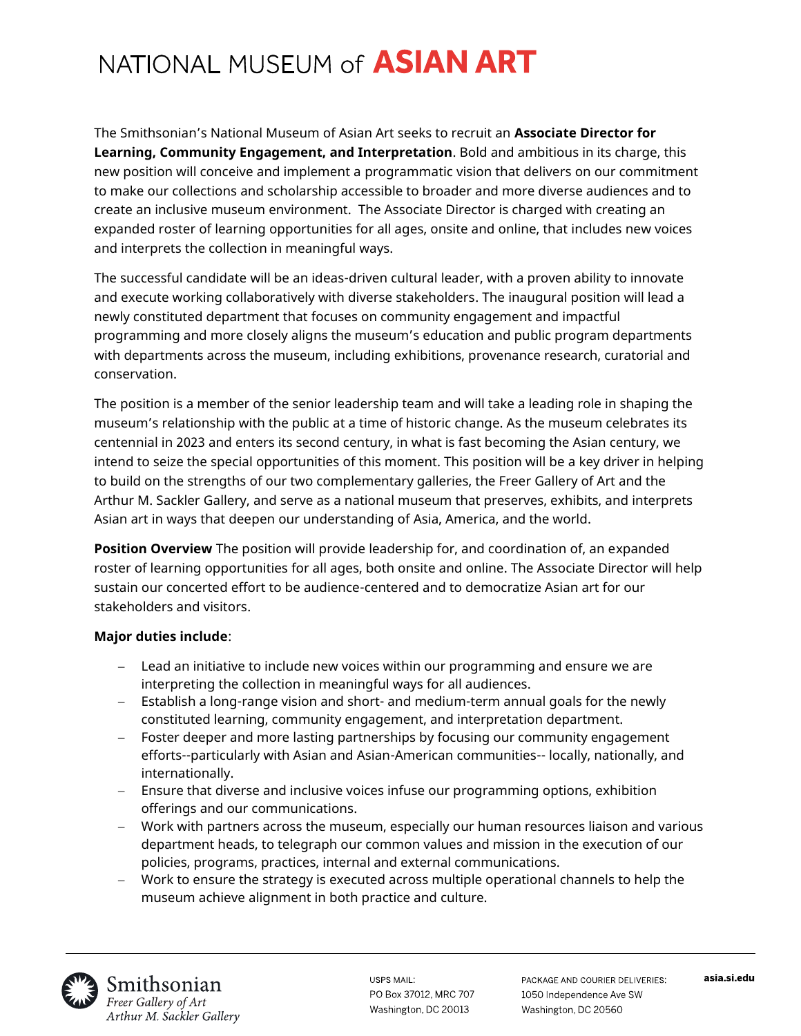# NATIONAL MUSEUM of **ASIAN ART**

The Smithsonian's National Museum of Asian Art seeks to recruit an **Associate Director for Learning, Community Engagement, and Interpretation**. Bold and ambitious in its charge, this new position will conceive and implement a programmatic vision that delivers on our commitment to make our collections and scholarship accessible to broader and more diverse audiences and to create an inclusive museum environment. The Associate Director is charged with creating an expanded roster of learning opportunities for all ages, onsite and online, that includes new voices and interprets the collection in meaningful ways.

The successful candidate will be an ideas-driven cultural leader, with a proven ability to innovate and execute working collaboratively with diverse stakeholders. The inaugural position will lead a newly constituted department that focuses on community engagement and impactful programming and more closely aligns the museum's education and public program departments with departments across the museum, including exhibitions, provenance research, curatorial and conservation.

The position is a member of the senior leadership team and will take a leading role in shaping the museum's relationship with the public at a time of historic change. As the museum celebrates its centennial in 2023 and enters its second century, in what is fast becoming the Asian century, we intend to seize the special opportunities of this moment. This position will be a key driver in helping to build on the strengths of our two complementary galleries, the Freer Gallery of Art and the Arthur M. Sackler Gallery, and serve as a national museum that preserves, exhibits, and interprets Asian art in ways that deepen our understanding of Asia, America, and the world.

**Position Overview** The position will provide leadership for, and coordination of, an expanded roster of learning opportunities for all ages, both onsite and online. The Associate Director will help sustain our concerted effort to be audience-centered and to democratize Asian art for our stakeholders and visitors.

#### **Major duties include**:

- − Lead an initiative to include new voices within our programming and ensure we are interpreting the collection in meaningful ways for all audiences.
- − Establish a long-range vision and short- and medium-term annual goals for the newly constituted learning, community engagement, and interpretation department.
- − Foster deeper and more lasting partnerships by focusing our community engagement efforts--particularly with Asian and Asian-American communities-- locally, nationally, and internationally.
- − Ensure that diverse and inclusive voices infuse our programming options, exhibition offerings and our communications.
- − Work with partners across the museum, especially our human resources liaison and various department heads, to telegraph our common values and mission in the execution of our policies, programs, practices, internal and external communications.
- − Work to ensure the strategy is executed across multiple operational channels to help the museum achieve alignment in both practice and culture.



USPS MAIL: PO Box 37012, MRC 707 Washington, DC 20013